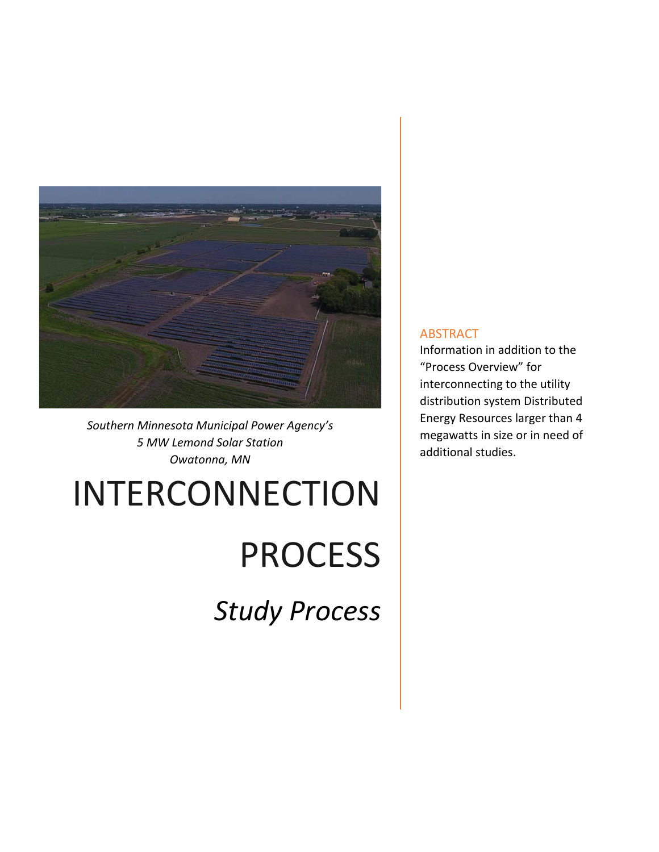

*Southern Minnesota Municipal Power Agency's 5 MW Lemond Solar Station Owatonna, MN* 

# INTERCONNECTION

# **PROCESS**

*Study Process* 

## **ABSTRACT**

Information in addition to the "Process Overview" for interconnecting to the utility distribution system Distributed Energy Resources larger than 4 megawatts in size or in need of additional studies.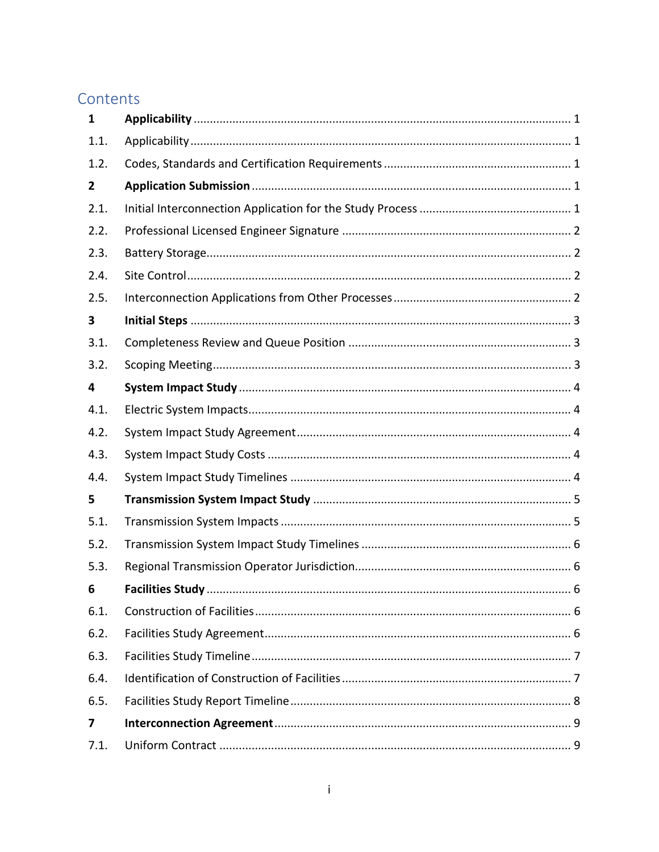# Contents

| $\mathbf{1}$ |  |
|--------------|--|
| 1.1.         |  |
| 1.2.         |  |
| $\mathbf{2}$ |  |
| 2.1.         |  |
| 2.2.         |  |
| 2.3.         |  |
| 2.4.         |  |
| 2.5.         |  |
| 3            |  |
| 3.1.         |  |
| 3.2.         |  |
| 4            |  |
| 4.1.         |  |
| 4.2.         |  |
| 4.3.         |  |
| 4.4.         |  |
| 5            |  |
| 5.1.         |  |
| 5.2.         |  |
| 5.3.         |  |
| 6            |  |
| 6.1.         |  |
| 6.2.         |  |
| 6.3.         |  |
| 6.4.         |  |
| 6.5.         |  |
| 7            |  |
| 7.1.         |  |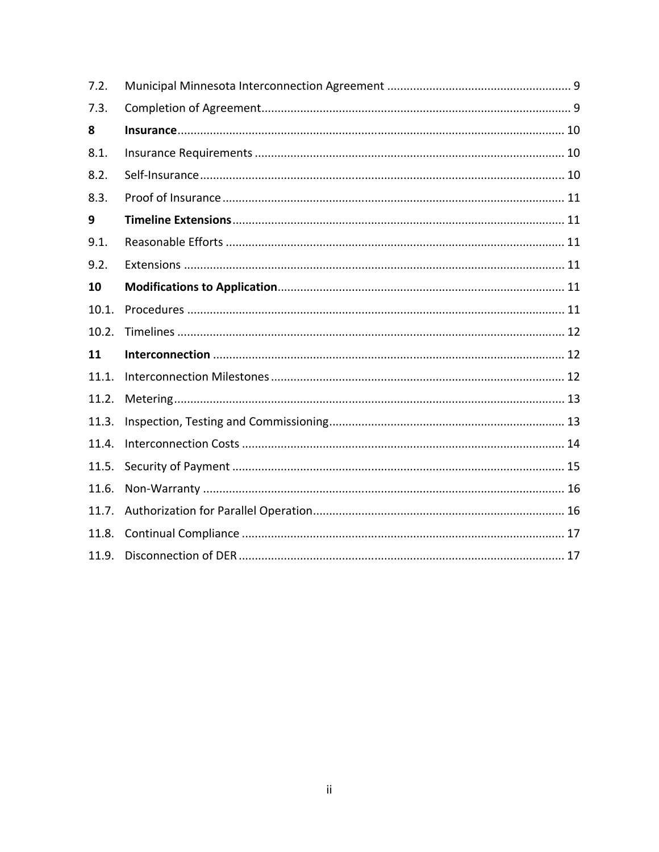| 7.2.  |  |
|-------|--|
| 7.3.  |  |
| 8     |  |
| 8.1.  |  |
| 8.2.  |  |
| 8.3.  |  |
| 9     |  |
| 9.1.  |  |
| 9.2.  |  |
| 10    |  |
| 10.1. |  |
| 10.2. |  |
| 11    |  |
| 11.1. |  |
| 11.2. |  |
| 11.3. |  |
| 11.4. |  |
| 11.5. |  |
| 11.6. |  |
| 11.7. |  |
| 11.8. |  |
| 11.9. |  |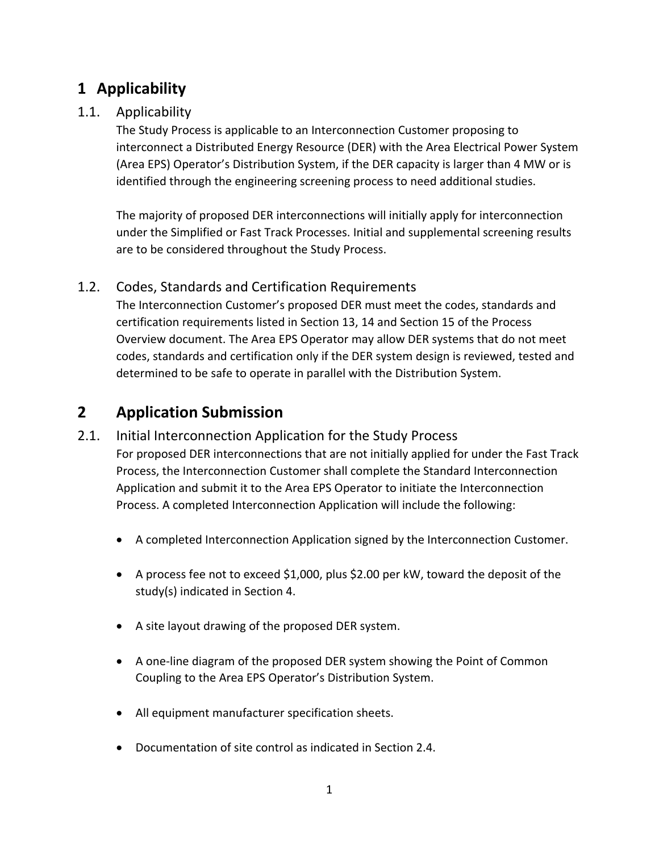# **1 Applicability**

# 1.1. Applicability

The Study Process is applicable to an Interconnection Customer proposing to interconnect a Distributed Energy Resource (DER) with the Area Electrical Power System (Area EPS) Operator's Distribution System, if the DER capacity is larger than 4 MW or is identified through the engineering screening process to need additional studies.

The majority of proposed DER interconnections will initially apply for interconnection under the Simplified or Fast Track Processes. Initial and supplemental screening results are to be considered throughout the Study Process.

# 1.2. Codes, Standards and Certification Requirements

The Interconnection Customer's proposed DER must meet the codes, standards and certification requirements listed in Section 13, 14 and Section 15 of the Process Overview document. The Area EPS Operator may allow DER systems that do not meet codes, standards and certification only if the DER system design is reviewed, tested and determined to be safe to operate in parallel with the Distribution System.

# **2 Application Submission**

# 2.1. Initial Interconnection Application for the Study Process

For proposed DER interconnections that are not initially applied for under the Fast Track Process, the Interconnection Customer shall complete the Standard Interconnection Application and submit it to the Area EPS Operator to initiate the Interconnection Process. A completed Interconnection Application will include the following:

- A completed Interconnection Application signed by the Interconnection Customer.
- A process fee not to exceed \$1,000, plus \$2.00 per kW, toward the deposit of the study(s) indicated in Section 4.
- A site layout drawing of the proposed DER system.
- A one-line diagram of the proposed DER system showing the Point of Common Coupling to the Area EPS Operator's Distribution System.
- All equipment manufacturer specification sheets.
- Documentation of site control as indicated in Section 2.4.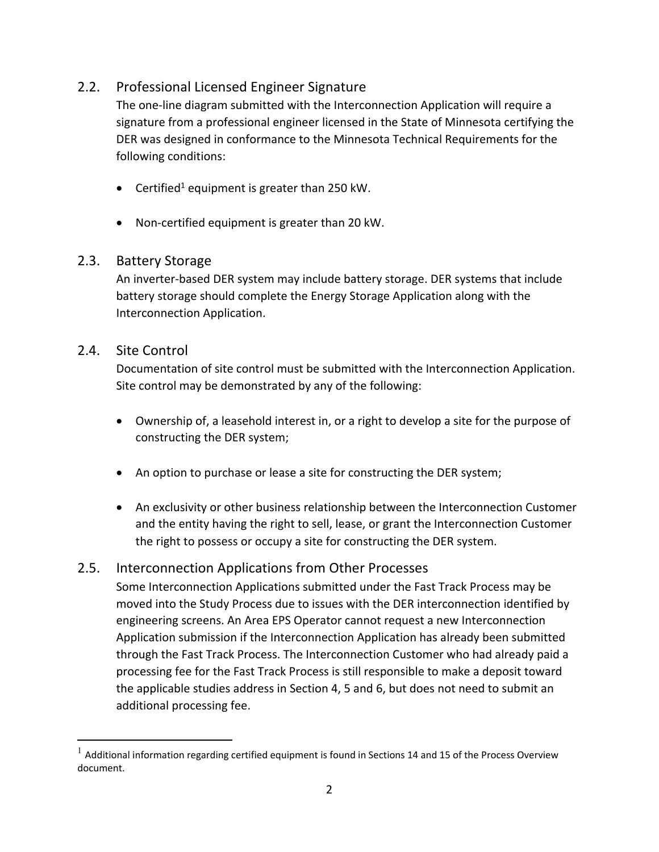# 2.2. Professional Licensed Engineer Signature

The one‐line diagram submitted with the Interconnection Application will require a signature from a professional engineer licensed in the State of Minnesota certifying the DER was designed in conformance to the Minnesota Technical Requirements for the following conditions:

- **•** Certified<sup>1</sup> equipment is greater than 250 kW.
- Non-certified equipment is greater than 20 kW.

# 2.3. Battery Storage

An inverter‐based DER system may include battery storage. DER systems that include battery storage should complete the Energy Storage Application along with the Interconnection Application.

## 2.4. Site Control

Documentation of site control must be submitted with the Interconnection Application. Site control may be demonstrated by any of the following:

- Ownership of, a leasehold interest in, or a right to develop a site for the purpose of constructing the DER system;
- An option to purchase or lease a site for constructing the DER system;
- An exclusivity or other business relationship between the Interconnection Customer and the entity having the right to sell, lease, or grant the Interconnection Customer the right to possess or occupy a site for constructing the DER system.

# 2.5. Interconnection Applications from Other Processes

Some Interconnection Applications submitted under the Fast Track Process may be moved into the Study Process due to issues with the DER interconnection identified by engineering screens. An Area EPS Operator cannot request a new Interconnection Application submission if the Interconnection Application has already been submitted through the Fast Track Process. The Interconnection Customer who had already paid a processing fee for the Fast Track Process is still responsible to make a deposit toward the applicable studies address in Section 4, 5 and 6, but does not need to submit an additional processing fee.

 $1$  Additional information regarding certified equipment is found in Sections 14 and 15 of the Process Overview document.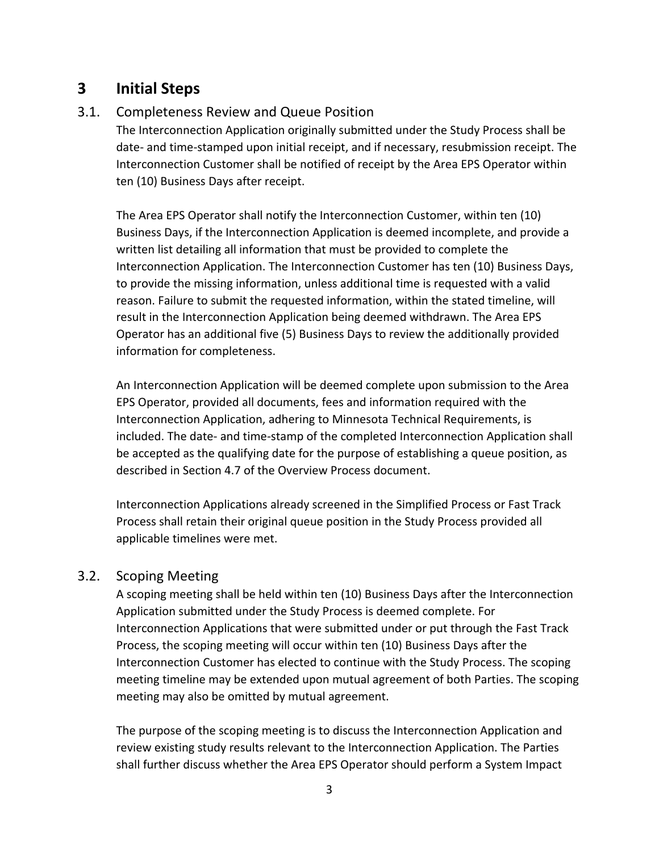# **3 Initial Steps**

# 3.1. Completeness Review and Queue Position

The Interconnection Application originally submitted under the Study Process shall be date‐ and time‐stamped upon initial receipt, and if necessary, resubmission receipt. The Interconnection Customer shall be notified of receipt by the Area EPS Operator within ten (10) Business Days after receipt.

The Area EPS Operator shall notify the Interconnection Customer, within ten (10) Business Days, if the Interconnection Application is deemed incomplete, and provide a written list detailing all information that must be provided to complete the Interconnection Application. The Interconnection Customer has ten (10) Business Days, to provide the missing information, unless additional time is requested with a valid reason. Failure to submit the requested information, within the stated timeline, will result in the Interconnection Application being deemed withdrawn. The Area EPS Operator has an additional five (5) Business Days to review the additionally provided information for completeness.

An Interconnection Application will be deemed complete upon submission to the Area EPS Operator, provided all documents, fees and information required with the Interconnection Application, adhering to Minnesota Technical Requirements, is included. The date‐ and time‐stamp of the completed Interconnection Application shall be accepted as the qualifying date for the purpose of establishing a queue position, as described in Section 4.7 of the Overview Process document.

Interconnection Applications already screened in the Simplified Process or Fast Track Process shall retain their original queue position in the Study Process provided all applicable timelines were met.

# 3.2. Scoping Meeting

A scoping meeting shall be held within ten (10) Business Days after the Interconnection Application submitted under the Study Process is deemed complete. For Interconnection Applications that were submitted under or put through the Fast Track Process, the scoping meeting will occur within ten (10) Business Days after the Interconnection Customer has elected to continue with the Study Process. The scoping meeting timeline may be extended upon mutual agreement of both Parties. The scoping meeting may also be omitted by mutual agreement.

The purpose of the scoping meeting is to discuss the Interconnection Application and review existing study results relevant to the Interconnection Application. The Parties shall further discuss whether the Area EPS Operator should perform a System Impact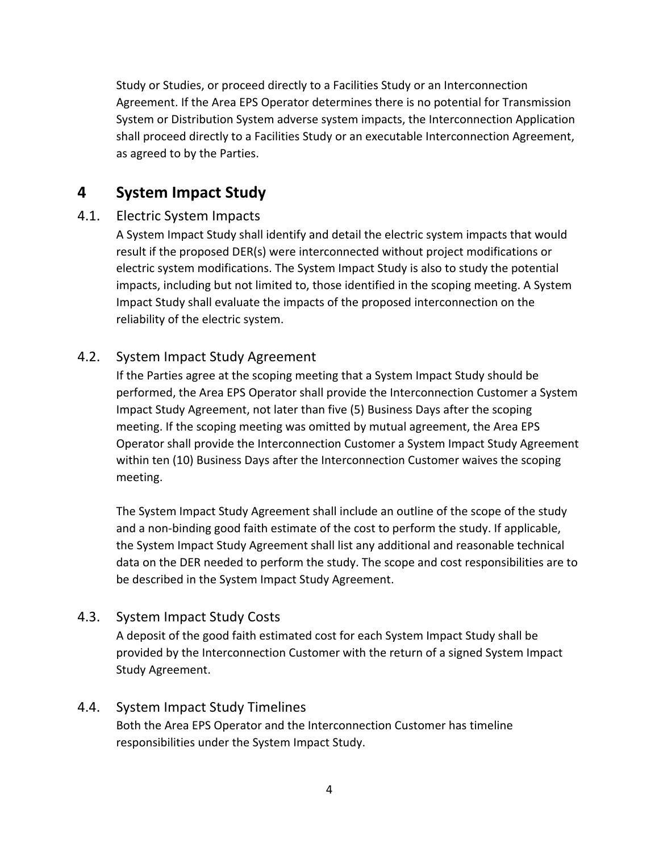Study or Studies, or proceed directly to a Facilities Study or an Interconnection Agreement. If the Area EPS Operator determines there is no potential for Transmission System or Distribution System adverse system impacts, the Interconnection Application shall proceed directly to a Facilities Study or an executable Interconnection Agreement, as agreed to by the Parties.

# **4 System Impact Study**

# 4.1. Electric System Impacts

A System Impact Study shall identify and detail the electric system impacts that would result if the proposed DER(s) were interconnected without project modifications or electric system modifications. The System Impact Study is also to study the potential impacts, including but not limited to, those identified in the scoping meeting. A System Impact Study shall evaluate the impacts of the proposed interconnection on the reliability of the electric system.

# 4.2. System Impact Study Agreement

If the Parties agree at the scoping meeting that a System Impact Study should be performed, the Area EPS Operator shall provide the Interconnection Customer a System Impact Study Agreement, not later than five (5) Business Days after the scoping meeting. If the scoping meeting was omitted by mutual agreement, the Area EPS Operator shall provide the Interconnection Customer a System Impact Study Agreement within ten (10) Business Days after the Interconnection Customer waives the scoping meeting.

The System Impact Study Agreement shall include an outline of the scope of the study and a non‐binding good faith estimate of the cost to perform the study. If applicable, the System Impact Study Agreement shall list any additional and reasonable technical data on the DER needed to perform the study. The scope and cost responsibilities are to be described in the System Impact Study Agreement.

# 4.3. System Impact Study Costs

A deposit of the good faith estimated cost for each System Impact Study shall be provided by the Interconnection Customer with the return of a signed System Impact Study Agreement.

# 4.4. System Impact Study Timelines

Both the Area EPS Operator and the Interconnection Customer has timeline responsibilities under the System Impact Study.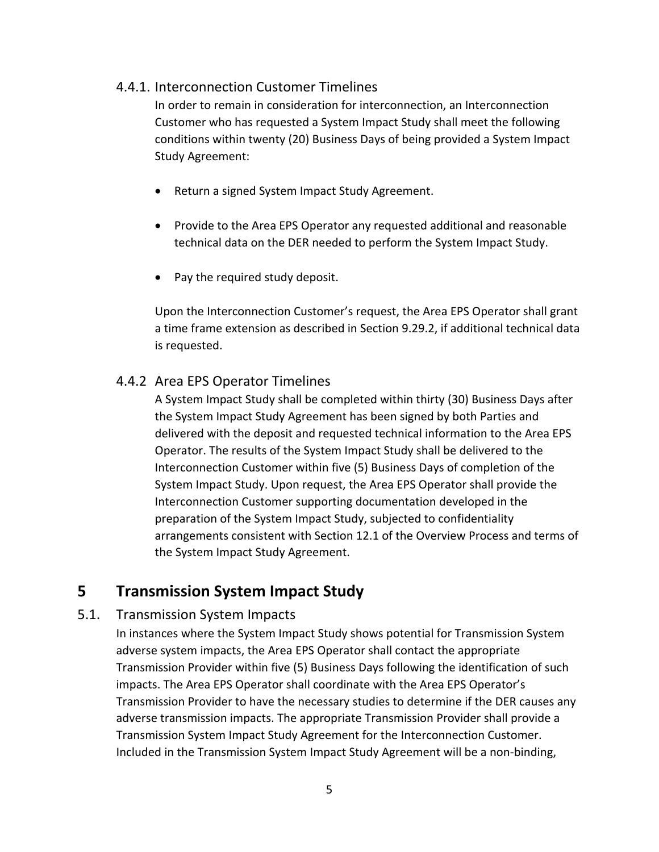# 4.4.1. Interconnection Customer Timelines

In order to remain in consideration for interconnection, an Interconnection Customer who has requested a System Impact Study shall meet the following conditions within twenty (20) Business Days of being provided a System Impact Study Agreement:

- Return a signed System Impact Study Agreement.
- Provide to the Area EPS Operator any requested additional and reasonable technical data on the DER needed to perform the System Impact Study.
- Pay the required study deposit.

Upon the Interconnection Customer's request, the Area EPS Operator shall grant a time frame extension as described in Section 9.29.2, if additional technical data is requested.

## 4.4.2 Area EPS Operator Timelines

A System Impact Study shall be completed within thirty (30) Business Days after the System Impact Study Agreement has been signed by both Parties and delivered with the deposit and requested technical information to the Area EPS Operator. The results of the System Impact Study shall be delivered to the Interconnection Customer within five (5) Business Days of completion of the System Impact Study. Upon request, the Area EPS Operator shall provide the Interconnection Customer supporting documentation developed in the preparation of the System Impact Study, subjected to confidentiality arrangements consistent with Section 12.1 of the Overview Process and terms of the System Impact Study Agreement.

# **5 Transmission System Impact Study**

#### 5.1. Transmission System Impacts

In instances where the System Impact Study shows potential for Transmission System adverse system impacts, the Area EPS Operator shall contact the appropriate Transmission Provider within five (5) Business Days following the identification of such impacts. The Area EPS Operator shall coordinate with the Area EPS Operator's Transmission Provider to have the necessary studies to determine if the DER causes any adverse transmission impacts. The appropriate Transmission Provider shall provide a Transmission System Impact Study Agreement for the Interconnection Customer. Included in the Transmission System Impact Study Agreement will be a non‐binding,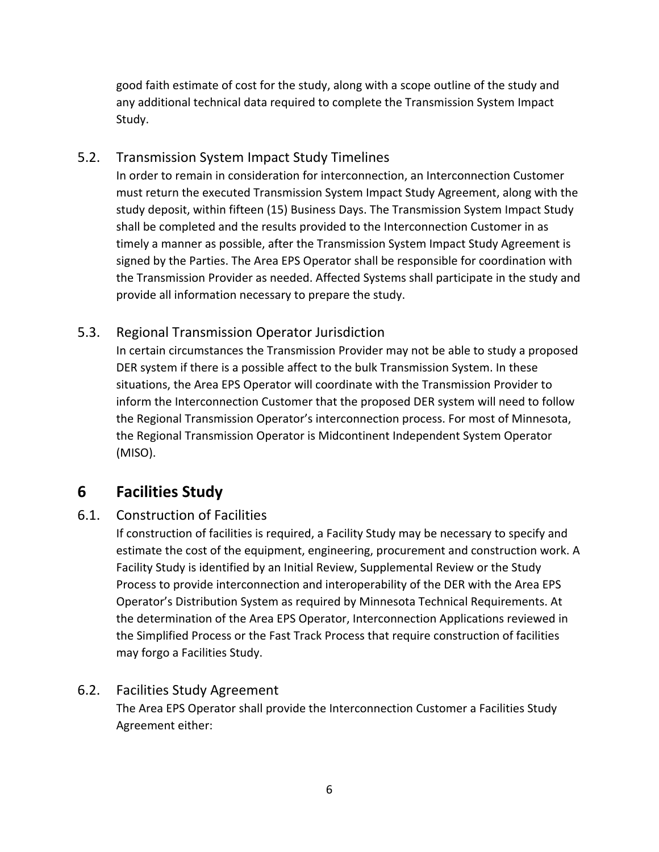good faith estimate of cost for the study, along with a scope outline of the study and any additional technical data required to complete the Transmission System Impact Study.

# 5.2. Transmission System Impact Study Timelines

In order to remain in consideration for interconnection, an Interconnection Customer must return the executed Transmission System Impact Study Agreement, along with the study deposit, within fifteen (15) Business Days. The Transmission System Impact Study shall be completed and the results provided to the Interconnection Customer in as timely a manner as possible, after the Transmission System Impact Study Agreement is signed by the Parties. The Area EPS Operator shall be responsible for coordination with the Transmission Provider as needed. Affected Systems shall participate in the study and provide all information necessary to prepare the study.

# 5.3. Regional Transmission Operator Jurisdiction

In certain circumstances the Transmission Provider may not be able to study a proposed DER system if there is a possible affect to the bulk Transmission System. In these situations, the Area EPS Operator will coordinate with the Transmission Provider to inform the Interconnection Customer that the proposed DER system will need to follow the Regional Transmission Operator's interconnection process. For most of Minnesota, the Regional Transmission Operator is Midcontinent Independent System Operator (MISO).

# **6 Facilities Study**

# 6.1. Construction of Facilities

If construction of facilities is required, a Facility Study may be necessary to specify and estimate the cost of the equipment, engineering, procurement and construction work. A Facility Study is identified by an Initial Review, Supplemental Review or the Study Process to provide interconnection and interoperability of the DER with the Area EPS Operator's Distribution System as required by Minnesota Technical Requirements. At the determination of the Area EPS Operator, Interconnection Applications reviewed in the Simplified Process or the Fast Track Process that require construction of facilities may forgo a Facilities Study.

# 6.2. Facilities Study Agreement

The Area EPS Operator shall provide the Interconnection Customer a Facilities Study Agreement either: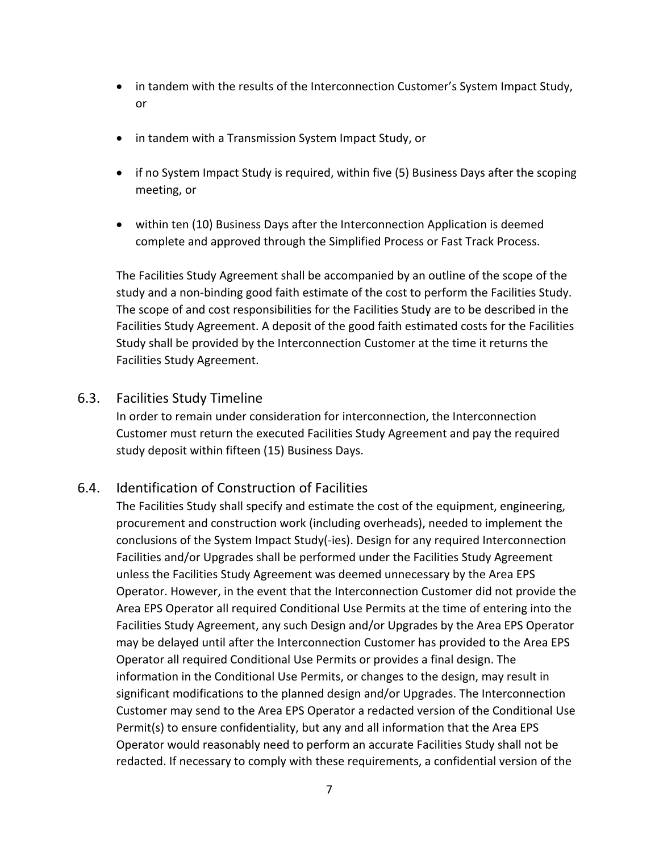- in tandem with the results of the Interconnection Customer's System Impact Study, or
- in tandem with a Transmission System Impact Study, or
- if no System Impact Study is required, within five (5) Business Days after the scoping meeting, or
- within ten (10) Business Days after the Interconnection Application is deemed complete and approved through the Simplified Process or Fast Track Process.

The Facilities Study Agreement shall be accompanied by an outline of the scope of the study and a non‐binding good faith estimate of the cost to perform the Facilities Study. The scope of and cost responsibilities for the Facilities Study are to be described in the Facilities Study Agreement. A deposit of the good faith estimated costs for the Facilities Study shall be provided by the Interconnection Customer at the time it returns the Facilities Study Agreement.

## 6.3. Facilities Study Timeline

In order to remain under consideration for interconnection, the Interconnection Customer must return the executed Facilities Study Agreement and pay the required study deposit within fifteen (15) Business Days.

# 6.4. Identification of Construction of Facilities

The Facilities Study shall specify and estimate the cost of the equipment, engineering, procurement and construction work (including overheads), needed to implement the conclusions of the System Impact Study(‐ies). Design for any required Interconnection Facilities and/or Upgrades shall be performed under the Facilities Study Agreement unless the Facilities Study Agreement was deemed unnecessary by the Area EPS Operator. However, in the event that the Interconnection Customer did not provide the Area EPS Operator all required Conditional Use Permits at the time of entering into the Facilities Study Agreement, any such Design and/or Upgrades by the Area EPS Operator may be delayed until after the Interconnection Customer has provided to the Area EPS Operator all required Conditional Use Permits or provides a final design. The information in the Conditional Use Permits, or changes to the design, may result in significant modifications to the planned design and/or Upgrades. The Interconnection Customer may send to the Area EPS Operator a redacted version of the Conditional Use Permit(s) to ensure confidentiality, but any and all information that the Area EPS Operator would reasonably need to perform an accurate Facilities Study shall not be redacted. If necessary to comply with these requirements, a confidential version of the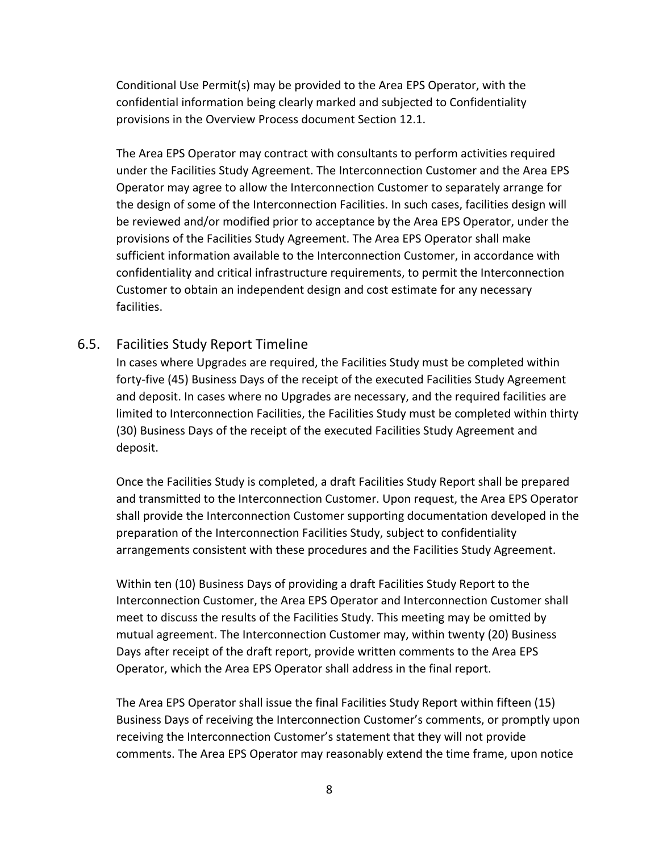Conditional Use Permit(s) may be provided to the Area EPS Operator, with the confidential information being clearly marked and subjected to Confidentiality provisions in the Overview Process document Section 12.1.

The Area EPS Operator may contract with consultants to perform activities required under the Facilities Study Agreement. The Interconnection Customer and the Area EPS Operator may agree to allow the Interconnection Customer to separately arrange for the design of some of the Interconnection Facilities. In such cases, facilities design will be reviewed and/or modified prior to acceptance by the Area EPS Operator, under the provisions of the Facilities Study Agreement. The Area EPS Operator shall make sufficient information available to the Interconnection Customer, in accordance with confidentiality and critical infrastructure requirements, to permit the Interconnection Customer to obtain an independent design and cost estimate for any necessary facilities.

#### 6.5. Facilities Study Report Timeline

In cases where Upgrades are required, the Facilities Study must be completed within forty‐five (45) Business Days of the receipt of the executed Facilities Study Agreement and deposit. In cases where no Upgrades are necessary, and the required facilities are limited to Interconnection Facilities, the Facilities Study must be completed within thirty (30) Business Days of the receipt of the executed Facilities Study Agreement and deposit.

Once the Facilities Study is completed, a draft Facilities Study Report shall be prepared and transmitted to the Interconnection Customer. Upon request, the Area EPS Operator shall provide the Interconnection Customer supporting documentation developed in the preparation of the Interconnection Facilities Study, subject to confidentiality arrangements consistent with these procedures and the Facilities Study Agreement.

Within ten (10) Business Days of providing a draft Facilities Study Report to the Interconnection Customer, the Area EPS Operator and Interconnection Customer shall meet to discuss the results of the Facilities Study. This meeting may be omitted by mutual agreement. The Interconnection Customer may, within twenty (20) Business Days after receipt of the draft report, provide written comments to the Area EPS Operator, which the Area EPS Operator shall address in the final report.

The Area EPS Operator shall issue the final Facilities Study Report within fifteen (15) Business Days of receiving the Interconnection Customer's comments, or promptly upon receiving the Interconnection Customer's statement that they will not provide comments. The Area EPS Operator may reasonably extend the time frame, upon notice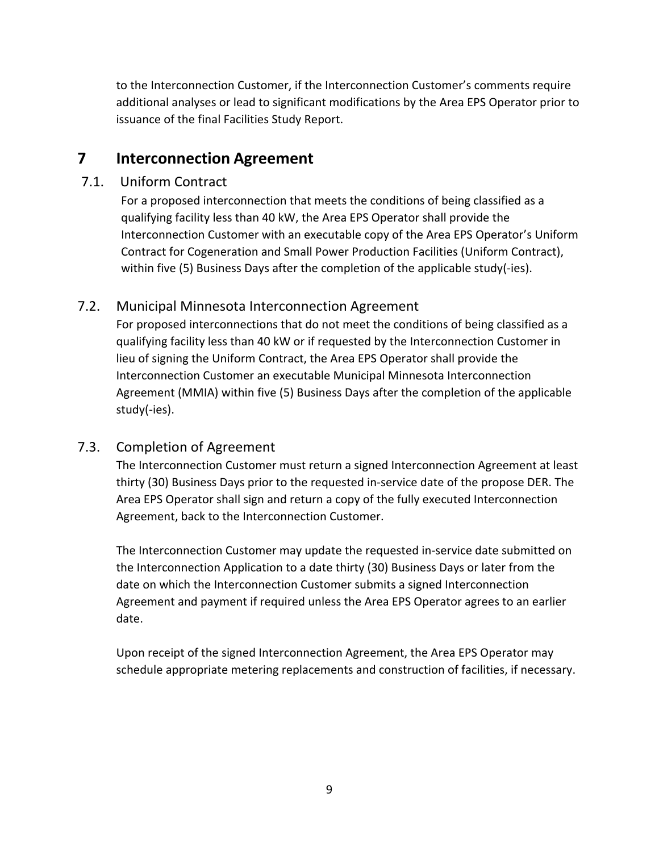to the Interconnection Customer, if the Interconnection Customer's comments require additional analyses or lead to significant modifications by the Area EPS Operator prior to issuance of the final Facilities Study Report.

# **7 Interconnection Agreement**

# 7.1. Uniform Contract

For a proposed interconnection that meets the conditions of being classified as a qualifying facility less than 40 kW, the Area EPS Operator shall provide the Interconnection Customer with an executable copy of the Area EPS Operator's Uniform Contract for Cogeneration and Small Power Production Facilities (Uniform Contract), within five (5) Business Days after the completion of the applicable study(-ies).

# 7.2. Municipal Minnesota Interconnection Agreement

For proposed interconnections that do not meet the conditions of being classified as a qualifying facility less than 40 kW or if requested by the Interconnection Customer in lieu of signing the Uniform Contract, the Area EPS Operator shall provide the Interconnection Customer an executable Municipal Minnesota Interconnection Agreement (MMIA) within five (5) Business Days after the completion of the applicable study(‐ies).

# 7.3. Completion of Agreement

The Interconnection Customer must return a signed Interconnection Agreement at least thirty (30) Business Days prior to the requested in‐service date of the propose DER. The Area EPS Operator shall sign and return a copy of the fully executed Interconnection Agreement, back to the Interconnection Customer.

The Interconnection Customer may update the requested in‐service date submitted on the Interconnection Application to a date thirty (30) Business Days or later from the date on which the Interconnection Customer submits a signed Interconnection Agreement and payment if required unless the Area EPS Operator agrees to an earlier date.

Upon receipt of the signed Interconnection Agreement, the Area EPS Operator may schedule appropriate metering replacements and construction of facilities, if necessary.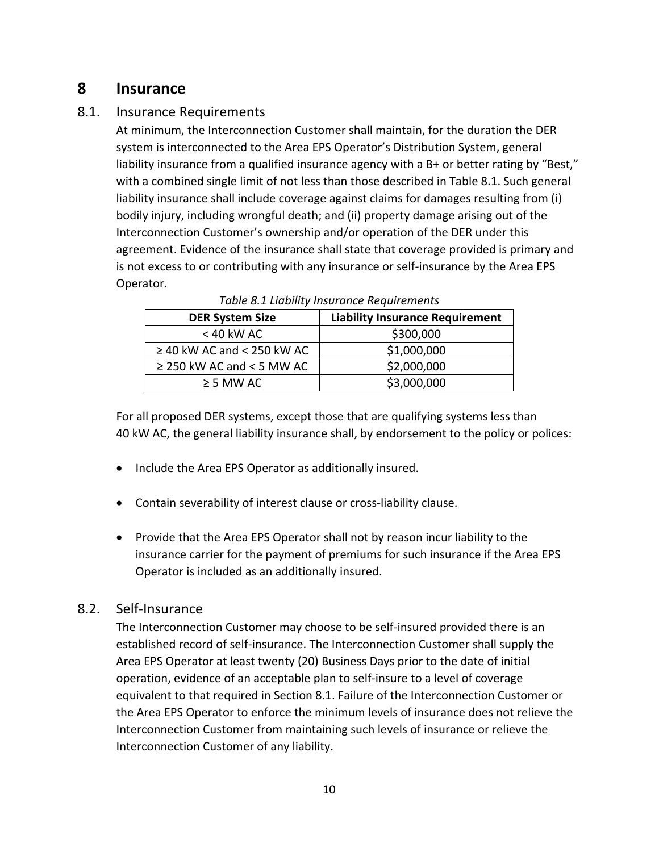# **8 Insurance**

# 8.1. Insurance Requirements

At minimum, the Interconnection Customer shall maintain, for the duration the DER system is interconnected to the Area EPS Operator's Distribution System, general liability insurance from a qualified insurance agency with a B+ or better rating by "Best," with a combined single limit of not less than those described in Table 8.1. Such general liability insurance shall include coverage against claims for damages resulting from (i) bodily injury, including wrongful death; and (ii) property damage arising out of the Interconnection Customer's ownership and/or operation of the DER under this agreement. Evidence of the insurance shall state that coverage provided is primary and is not excess to or contributing with any insurance or self-insurance by the Area EPS Operator.

| <b>DER System Size</b>          | <b>Liability Insurance Requirement</b> |
|---------------------------------|----------------------------------------|
| $<$ 40 kW AC                    | \$300,000                              |
| $\geq$ 40 kW AC and < 250 kW AC | \$1,000,000                            |
| $\geq$ 250 kW AC and < 5 MW AC  | \$2,000,000                            |
| $\geq$ 5 MW AC                  | \$3,000,000                            |

| Table 8.1 Liability Insurance Requirements |  |
|--------------------------------------------|--|
|--------------------------------------------|--|

For all proposed DER systems, except those that are qualifying systems less than 40 kW AC, the general liability insurance shall, by endorsement to the policy or polices:

- Include the Area EPS Operator as additionally insured.
- Contain severability of interest clause or cross-liability clause.
- Provide that the Area EPS Operator shall not by reason incur liability to the insurance carrier for the payment of premiums for such insurance if the Area EPS Operator is included as an additionally insured.

# 8.2. Self‐Insurance

The Interconnection Customer may choose to be self-insured provided there is an established record of self‐insurance. The Interconnection Customer shall supply the Area EPS Operator at least twenty (20) Business Days prior to the date of initial operation, evidence of an acceptable plan to self‐insure to a level of coverage equivalent to that required in Section 8.1. Failure of the Interconnection Customer or the Area EPS Operator to enforce the minimum levels of insurance does not relieve the Interconnection Customer from maintaining such levels of insurance or relieve the Interconnection Customer of any liability.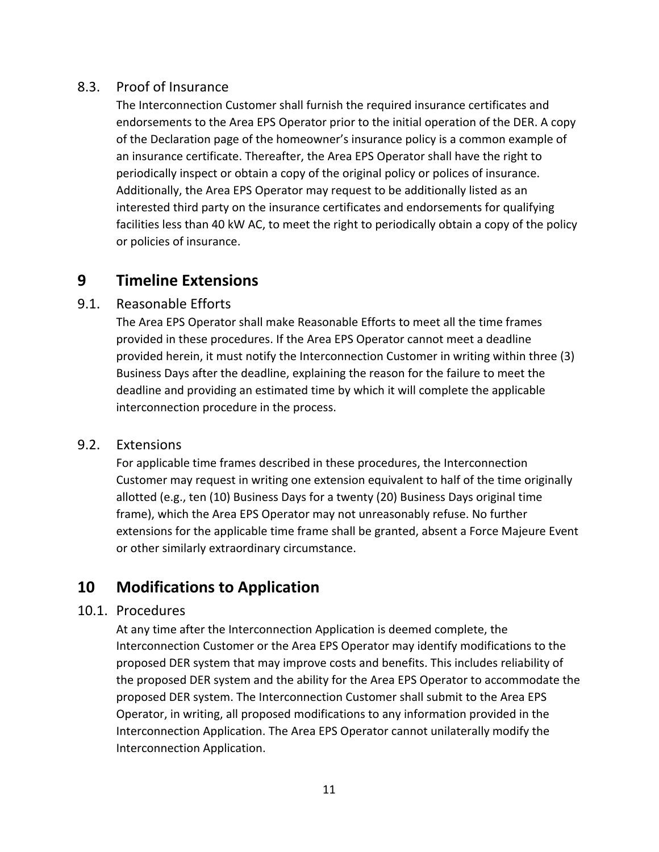# 8.3. Proof of Insurance

The Interconnection Customer shall furnish the required insurance certificates and endorsements to the Area EPS Operator prior to the initial operation of the DER. A copy of the Declaration page of the homeowner's insurance policy is a common example of an insurance certificate. Thereafter, the Area EPS Operator shall have the right to periodically inspect or obtain a copy of the original policy or polices of insurance. Additionally, the Area EPS Operator may request to be additionally listed as an interested third party on the insurance certificates and endorsements for qualifying facilities less than 40 kW AC, to meet the right to periodically obtain a copy of the policy or policies of insurance.

# **9 Timeline Extensions**

# 9.1. Reasonable Efforts

The Area EPS Operator shall make Reasonable Efforts to meet all the time frames provided in these procedures. If the Area EPS Operator cannot meet a deadline provided herein, it must notify the Interconnection Customer in writing within three (3) Business Days after the deadline, explaining the reason for the failure to meet the deadline and providing an estimated time by which it will complete the applicable interconnection procedure in the process.

## 9.2. Extensions

For applicable time frames described in these procedures, the Interconnection Customer may request in writing one extension equivalent to half of the time originally allotted (e.g., ten (10) Business Days for a twenty (20) Business Days original time frame), which the Area EPS Operator may not unreasonably refuse. No further extensions for the applicable time frame shall be granted, absent a Force Majeure Event or other similarly extraordinary circumstance.

# **10 Modifications to Application**

#### 10.1. Procedures

At any time after the Interconnection Application is deemed complete, the Interconnection Customer or the Area EPS Operator may identify modifications to the proposed DER system that may improve costs and benefits. This includes reliability of the proposed DER system and the ability for the Area EPS Operator to accommodate the proposed DER system. The Interconnection Customer shall submit to the Area EPS Operator, in writing, all proposed modifications to any information provided in the Interconnection Application. The Area EPS Operator cannot unilaterally modify the Interconnection Application.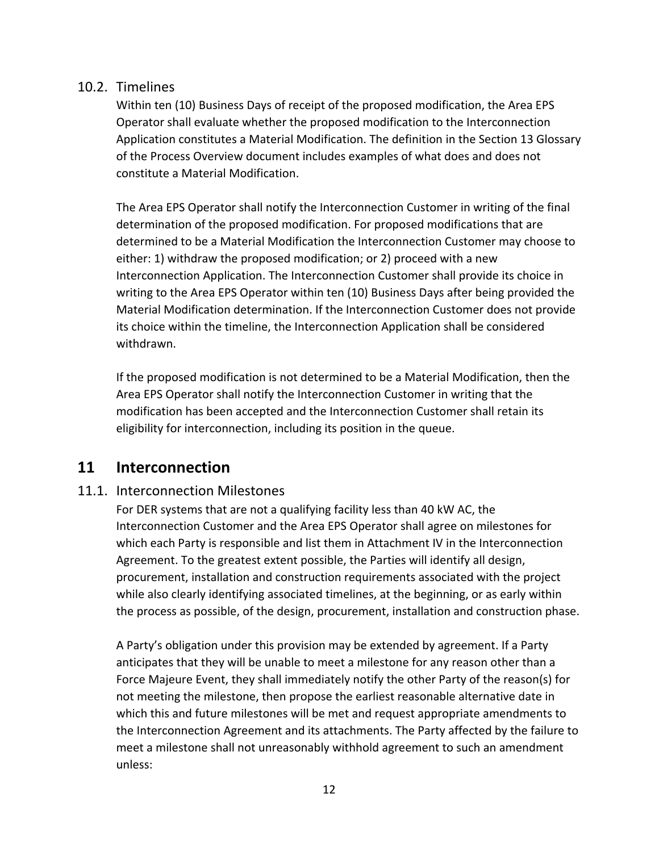# 10.2. Timelines

Within ten (10) Business Days of receipt of the proposed modification, the Area EPS Operator shall evaluate whether the proposed modification to the Interconnection Application constitutes a Material Modification. The definition in the Section 13 Glossary of the Process Overview document includes examples of what does and does not constitute a Material Modification.

The Area EPS Operator shall notify the Interconnection Customer in writing of the final determination of the proposed modification. For proposed modifications that are determined to be a Material Modification the Interconnection Customer may choose to either: 1) withdraw the proposed modification; or 2) proceed with a new Interconnection Application. The Interconnection Customer shall provide its choice in writing to the Area EPS Operator within ten (10) Business Days after being provided the Material Modification determination. If the Interconnection Customer does not provide its choice within the timeline, the Interconnection Application shall be considered withdrawn.

If the proposed modification is not determined to be a Material Modification, then the Area EPS Operator shall notify the Interconnection Customer in writing that the modification has been accepted and the Interconnection Customer shall retain its eligibility for interconnection, including its position in the queue.

# **11 Interconnection**

#### 11.1. Interconnection Milestones

For DER systems that are not a qualifying facility less than 40 kW AC, the Interconnection Customer and the Area EPS Operator shall agree on milestones for which each Party is responsible and list them in Attachment IV in the Interconnection Agreement. To the greatest extent possible, the Parties will identify all design, procurement, installation and construction requirements associated with the project while also clearly identifying associated timelines, at the beginning, or as early within the process as possible, of the design, procurement, installation and construction phase.

A Party's obligation under this provision may be extended by agreement. If a Party anticipates that they will be unable to meet a milestone for any reason other than a Force Majeure Event, they shall immediately notify the other Party of the reason(s) for not meeting the milestone, then propose the earliest reasonable alternative date in which this and future milestones will be met and request appropriate amendments to the Interconnection Agreement and its attachments. The Party affected by the failure to meet a milestone shall not unreasonably withhold agreement to such an amendment unless: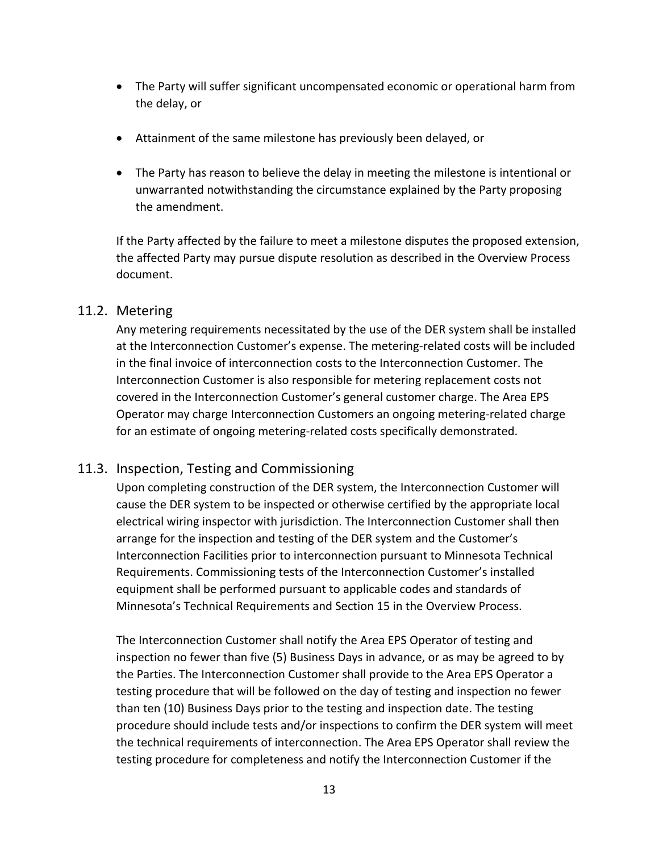- The Party will suffer significant uncompensated economic or operational harm from the delay, or
- Attainment of the same milestone has previously been delayed, or
- The Party has reason to believe the delay in meeting the milestone is intentional or unwarranted notwithstanding the circumstance explained by the Party proposing the amendment.

If the Party affected by the failure to meet a milestone disputes the proposed extension, the affected Party may pursue dispute resolution as described in the Overview Process document.

## 11.2. Metering

Any metering requirements necessitated by the use of the DER system shall be installed at the Interconnection Customer's expense. The metering‐related costs will be included in the final invoice of interconnection costs to the Interconnection Customer. The Interconnection Customer is also responsible for metering replacement costs not covered in the Interconnection Customer's general customer charge. The Area EPS Operator may charge Interconnection Customers an ongoing metering‐related charge for an estimate of ongoing metering‐related costs specifically demonstrated.

# 11.3. Inspection, Testing and Commissioning

Upon completing construction of the DER system, the Interconnection Customer will cause the DER system to be inspected or otherwise certified by the appropriate local electrical wiring inspector with jurisdiction. The Interconnection Customer shall then arrange for the inspection and testing of the DER system and the Customer's Interconnection Facilities prior to interconnection pursuant to Minnesota Technical Requirements. Commissioning tests of the Interconnection Customer's installed equipment shall be performed pursuant to applicable codes and standards of Minnesota's Technical Requirements and Section 15 in the Overview Process.

The Interconnection Customer shall notify the Area EPS Operator of testing and inspection no fewer than five (5) Business Days in advance, or as may be agreed to by the Parties. The Interconnection Customer shall provide to the Area EPS Operator a testing procedure that will be followed on the day of testing and inspection no fewer than ten (10) Business Days prior to the testing and inspection date. The testing procedure should include tests and/or inspections to confirm the DER system will meet the technical requirements of interconnection. The Area EPS Operator shall review the testing procedure for completeness and notify the Interconnection Customer if the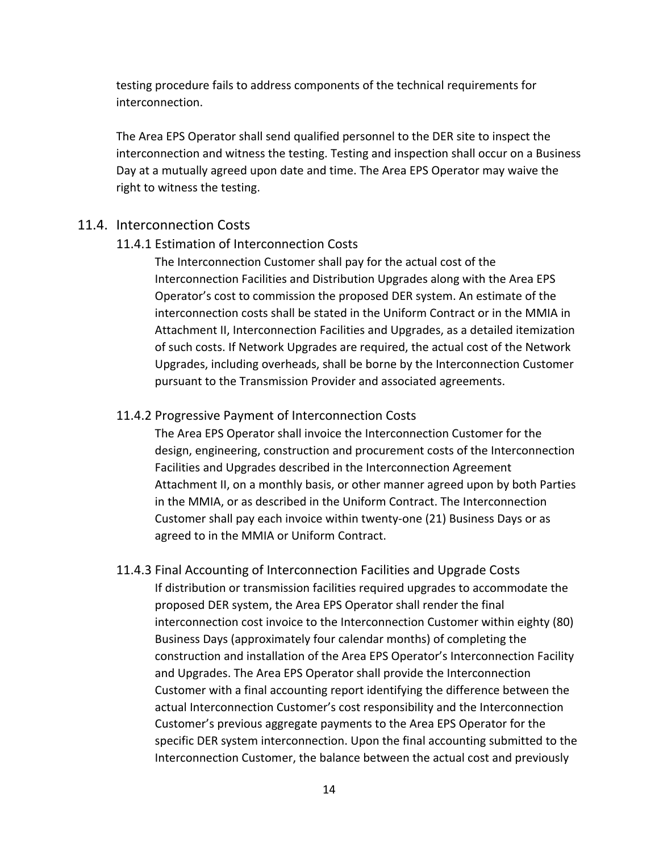testing procedure fails to address components of the technical requirements for interconnection.

The Area EPS Operator shall send qualified personnel to the DER site to inspect the interconnection and witness the testing. Testing and inspection shall occur on a Business Day at a mutually agreed upon date and time. The Area EPS Operator may waive the right to witness the testing.

#### 11.4. Interconnection Costs

#### 11.4.1 Estimation of Interconnection Costs

The Interconnection Customer shall pay for the actual cost of the Interconnection Facilities and Distribution Upgrades along with the Area EPS Operator's cost to commission the proposed DER system. An estimate of the interconnection costs shall be stated in the Uniform Contract or in the MMIA in Attachment II, Interconnection Facilities and Upgrades, as a detailed itemization of such costs. If Network Upgrades are required, the actual cost of the Network Upgrades, including overheads, shall be borne by the Interconnection Customer pursuant to the Transmission Provider and associated agreements.

#### 11.4.2 Progressive Payment of Interconnection Costs

The Area EPS Operator shall invoice the Interconnection Customer for the design, engineering, construction and procurement costs of the Interconnection Facilities and Upgrades described in the Interconnection Agreement Attachment II, on a monthly basis, or other manner agreed upon by both Parties in the MMIA, or as described in the Uniform Contract. The Interconnection Customer shall pay each invoice within twenty‐one (21) Business Days or as agreed to in the MMIA or Uniform Contract.

11.4.3 Final Accounting of Interconnection Facilities and Upgrade Costs If distribution or transmission facilities required upgrades to accommodate the proposed DER system, the Area EPS Operator shall render the final interconnection cost invoice to the Interconnection Customer within eighty (80) Business Days (approximately four calendar months) of completing the construction and installation of the Area EPS Operator's Interconnection Facility and Upgrades. The Area EPS Operator shall provide the Interconnection Customer with a final accounting report identifying the difference between the actual Interconnection Customer's cost responsibility and the Interconnection Customer's previous aggregate payments to the Area EPS Operator for the specific DER system interconnection. Upon the final accounting submitted to the Interconnection Customer, the balance between the actual cost and previously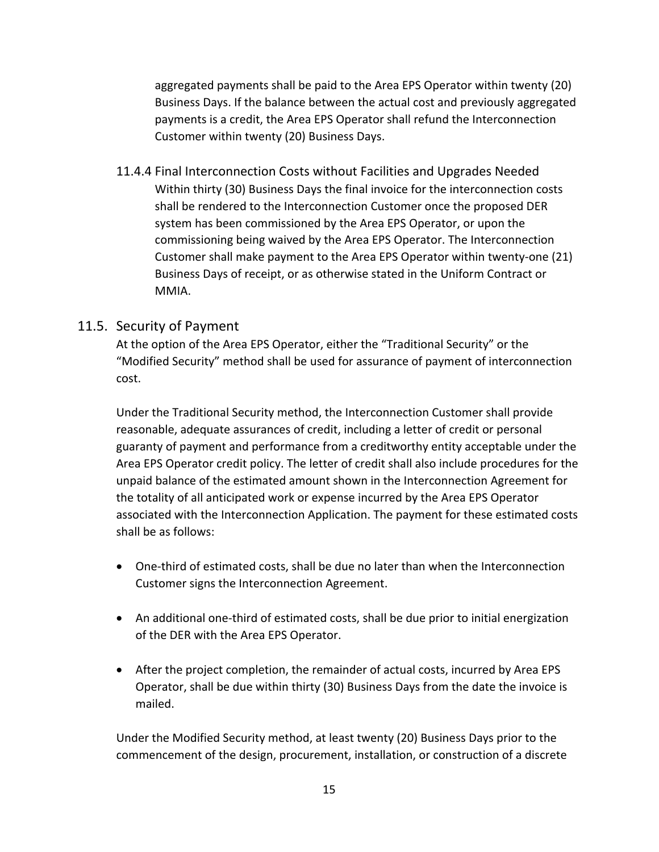aggregated payments shall be paid to the Area EPS Operator within twenty (20) Business Days. If the balance between the actual cost and previously aggregated payments is a credit, the Area EPS Operator shall refund the Interconnection Customer within twenty (20) Business Days.

11.4.4 Final Interconnection Costs without Facilities and Upgrades Needed Within thirty (30) Business Days the final invoice for the interconnection costs shall be rendered to the Interconnection Customer once the proposed DER system has been commissioned by the Area EPS Operator, or upon the commissioning being waived by the Area EPS Operator. The Interconnection Customer shall make payment to the Area EPS Operator within twenty‐one (21) Business Days of receipt, or as otherwise stated in the Uniform Contract or MMIA.

# 11.5. Security of Payment

At the option of the Area EPS Operator, either the "Traditional Security" or the "Modified Security" method shall be used for assurance of payment of interconnection cost.

Under the Traditional Security method, the Interconnection Customer shall provide reasonable, adequate assurances of credit, including a letter of credit or personal guaranty of payment and performance from a creditworthy entity acceptable under the Area EPS Operator credit policy. The letter of credit shall also include procedures for the unpaid balance of the estimated amount shown in the Interconnection Agreement for the totality of all anticipated work or expense incurred by the Area EPS Operator associated with the Interconnection Application. The payment for these estimated costs shall be as follows:

- One-third of estimated costs, shall be due no later than when the Interconnection Customer signs the Interconnection Agreement.
- An additional one-third of estimated costs, shall be due prior to initial energization of the DER with the Area EPS Operator.
- After the project completion, the remainder of actual costs, incurred by Area EPS Operator, shall be due within thirty (30) Business Days from the date the invoice is mailed.

Under the Modified Security method, at least twenty (20) Business Days prior to the commencement of the design, procurement, installation, or construction of a discrete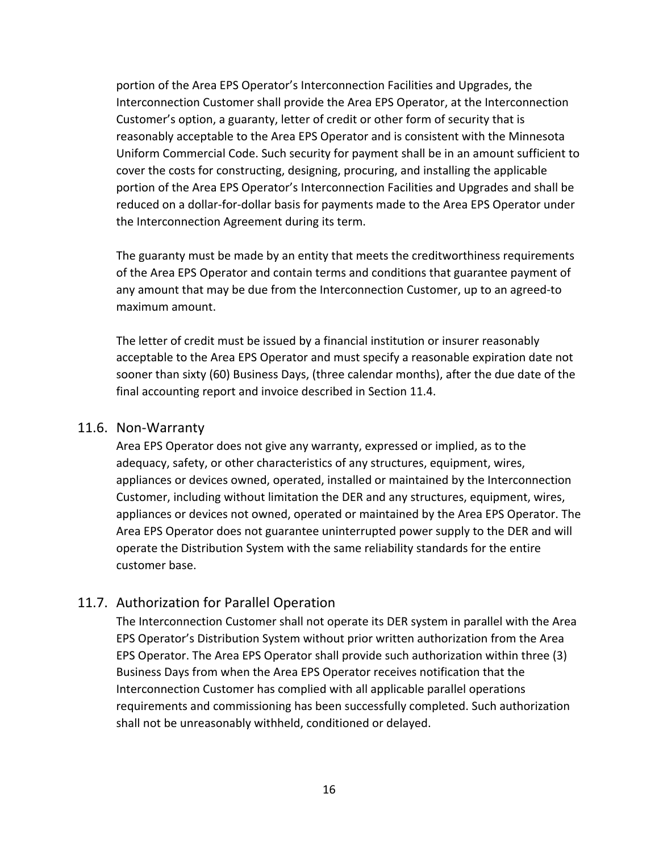portion of the Area EPS Operator's Interconnection Facilities and Upgrades, the Interconnection Customer shall provide the Area EPS Operator, at the Interconnection Customer's option, a guaranty, letter of credit or other form of security that is reasonably acceptable to the Area EPS Operator and is consistent with the Minnesota Uniform Commercial Code. Such security for payment shall be in an amount sufficient to cover the costs for constructing, designing, procuring, and installing the applicable portion of the Area EPS Operator's Interconnection Facilities and Upgrades and shall be reduced on a dollar‐for‐dollar basis for payments made to the Area EPS Operator under the Interconnection Agreement during its term.

The guaranty must be made by an entity that meets the creditworthiness requirements of the Area EPS Operator and contain terms and conditions that guarantee payment of any amount that may be due from the Interconnection Customer, up to an agreed‐to maximum amount.

The letter of credit must be issued by a financial institution or insurer reasonably acceptable to the Area EPS Operator and must specify a reasonable expiration date not sooner than sixty (60) Business Days, (three calendar months), after the due date of the final accounting report and invoice described in Section 11.4.

#### 11.6. Non‐Warranty

Area EPS Operator does not give any warranty, expressed or implied, as to the adequacy, safety, or other characteristics of any structures, equipment, wires, appliances or devices owned, operated, installed or maintained by the Interconnection Customer, including without limitation the DER and any structures, equipment, wires, appliances or devices not owned, operated or maintained by the Area EPS Operator. The Area EPS Operator does not guarantee uninterrupted power supply to the DER and will operate the Distribution System with the same reliability standards for the entire customer base.

#### 11.7. Authorization for Parallel Operation

The Interconnection Customer shall not operate its DER system in parallel with the Area EPS Operator's Distribution System without prior written authorization from the Area EPS Operator. The Area EPS Operator shall provide such authorization within three (3) Business Days from when the Area EPS Operator receives notification that the Interconnection Customer has complied with all applicable parallel operations requirements and commissioning has been successfully completed. Such authorization shall not be unreasonably withheld, conditioned or delayed.